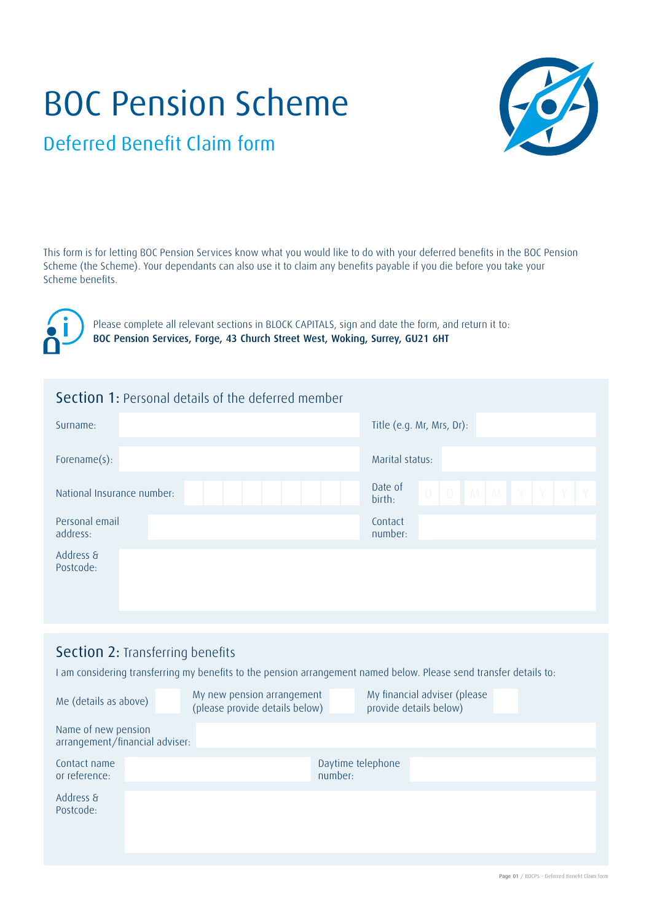# BOC Pension Scheme



Deferred Benefit Claim form

This form is for letting BOC Pension Services know what you would like to do with your deferred benefits in the BOC Pension Scheme (the Scheme). Your dependants can also use it to claim any benefits payable if you die before you take your Scheme benefits.



Please complete all relevant sections in BLOCK CAPITALS, sign and date the form, and return it to: BOC Pension Services, Forge, 43 Church Street West, Woking, Surrey, GU21 6HT

| <b>Section 1: Personal details of the deferred member</b> |                                                  |
|-----------------------------------------------------------|--------------------------------------------------|
| Surname:                                                  | Title (e.g. Mr, Mrs, Dr):                        |
| Forename(s):                                              | Marital status:                                  |
| National Insurance number:                                | Date of<br>$D$ $D$ $M$ $M$ $Y$ $Y$ $Y$<br>birth: |
| Personal email<br>address:                                | Contact<br>number:                               |
| Address &<br>Postcode:                                    |                                                  |

## Section 2: Transferring benefits

I am considering transferring my benefits to the pension arrangement named below. Please send transfer details to:

| Me (details as above)                                 | My new pension arrangement<br>(please provide details below) |                              | My financial adviser (please<br>provide details below) |  |
|-------------------------------------------------------|--------------------------------------------------------------|------------------------------|--------------------------------------------------------|--|
| Name of new pension<br>arrangement/financial adviser: |                                                              |                              |                                                        |  |
| Contact name<br>or reference:                         |                                                              | Daytime telephone<br>number: |                                                        |  |
| Address &<br>Postcode:                                |                                                              |                              |                                                        |  |
|                                                       |                                                              |                              |                                                        |  |